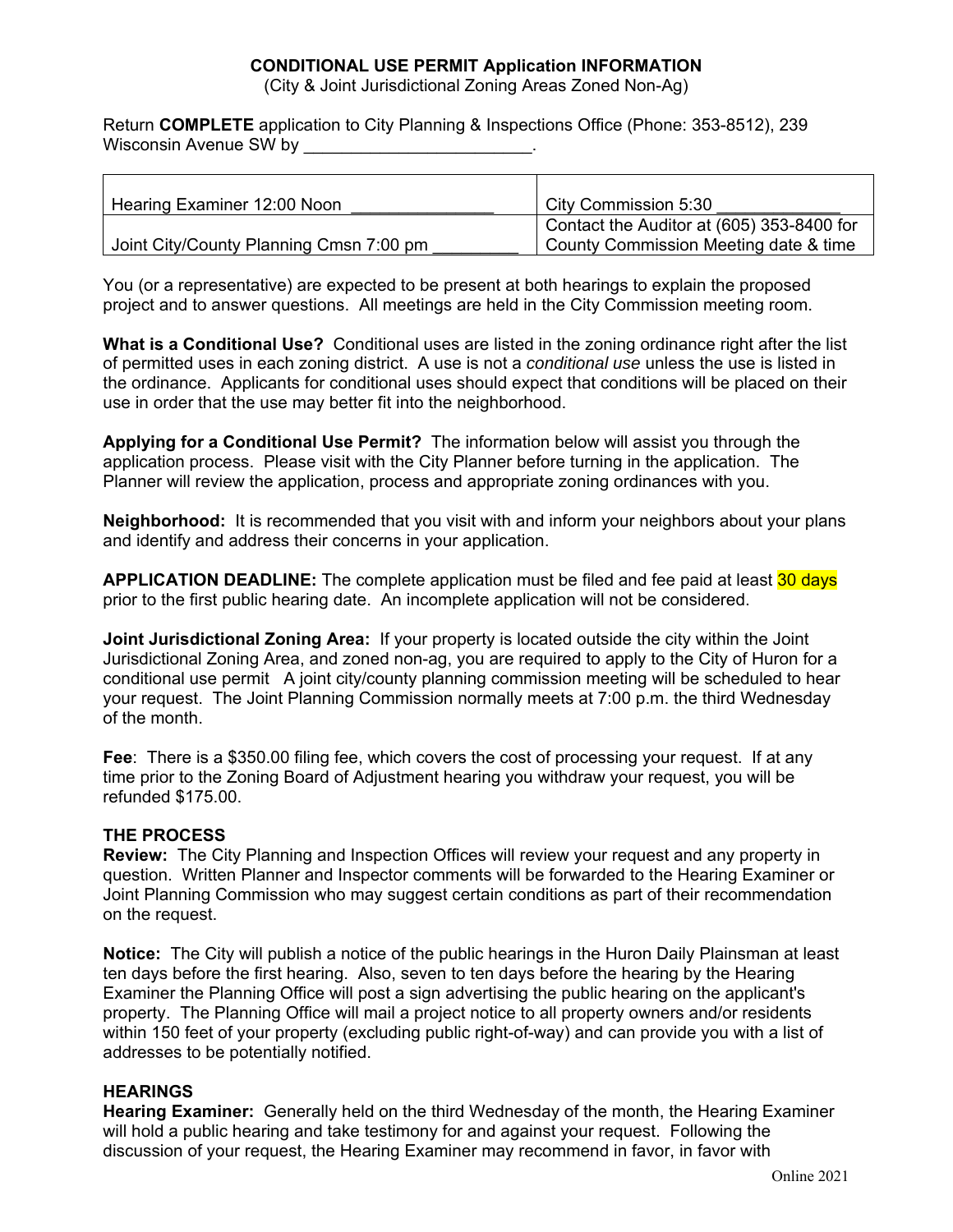## **CONDITIONAL USE PERMIT Application INFORMATION**

(City & Joint Jurisdictional Zoning Areas Zoned Non-Ag)

Return **COMPLETE** application to City Planning & Inspections Office (Phone: 353-8512), 239 Wisconsin Avenue SW by **Wisconsin** 

| Hearing Examiner 12:00 Noon             | City Commission 5:30                      |
|-----------------------------------------|-------------------------------------------|
|                                         | Contact the Auditor at (605) 353-8400 for |
| Joint City/County Planning Cmsn 7:00 pm | County Commission Meeting date & time     |

You (or a representative) are expected to be present at both hearings to explain the proposed project and to answer questions. All meetings are held in the City Commission meeting room.

**What is a Conditional Use?** Conditional uses are listed in the zoning ordinance right after the list of permitted uses in each zoning district. A use is not a *conditional use* unless the use is listed in the ordinance. Applicants for conditional uses should expect that conditions will be placed on their use in order that the use may better fit into the neighborhood.

**Applying for a Conditional Use Permit?** The information below will assist you through the application process. Please visit with the City Planner before turning in the application. The Planner will review the application, process and appropriate zoning ordinances with you.

**Neighborhood:** It is recommended that you visit with and inform your neighbors about your plans and identify and address their concerns in your application.

**APPLICATION DEADLINE:** The complete application must be filed and fee paid at least 30 days prior to the first public hearing date. An incomplete application will not be considered.

**Joint Jurisdictional Zoning Area:** If your property is located outside the city within the Joint Jurisdictional Zoning Area, and zoned non-ag, you are required to apply to the City of Huron for a conditional use permit A joint city/county planning commission meeting will be scheduled to hear your request. The Joint Planning Commission normally meets at 7:00 p.m. the third Wednesday of the month.

**Fee**: There is a \$350.00 filing fee, which covers the cost of processing your request. If at any time prior to the Zoning Board of Adjustment hearing you withdraw your request, you will be refunded \$175.00.

#### **THE PROCESS**

**Review:** The City Planning and Inspection Offices will review your request and any property in question. Written Planner and Inspector comments will be forwarded to the Hearing Examiner or Joint Planning Commission who may suggest certain conditions as part of their recommendation on the request.

**Notice:** The City will publish a notice of the public hearings in the Huron Daily Plainsman at least ten days before the first hearing. Also, seven to ten days before the hearing by the Hearing Examiner the Planning Office will post a sign advertising the public hearing on the applicant's property. The Planning Office will mail a project notice to all property owners and/or residents within 150 feet of your property (excluding public right-of-way) and can provide you with a list of addresses to be potentially notified.

## **HEARINGS**

**Hearing Examiner:** Generally held on the third Wednesday of the month, the Hearing Examiner will hold a public hearing and take testimony for and against your request. Following the discussion of your request, the Hearing Examiner may recommend in favor, in favor with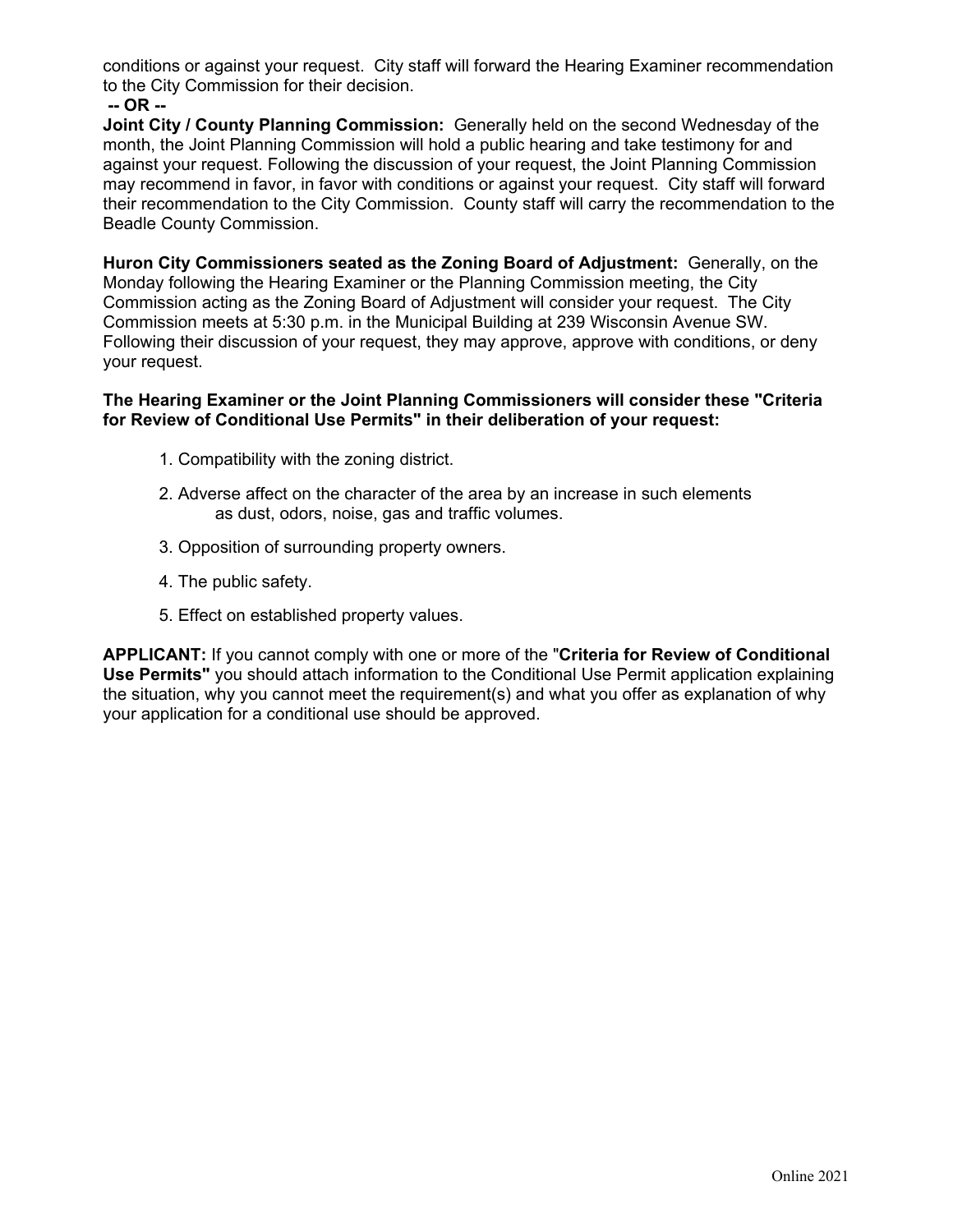conditions or against your request. City staff will forward the Hearing Examiner recommendation to the City Commission for their decision.

 **-- OR --** 

**Joint City / County Planning Commission:** Generally held on the second Wednesday of the month, the Joint Planning Commission will hold a public hearing and take testimony for and against your request. Following the discussion of your request, the Joint Planning Commission may recommend in favor, in favor with conditions or against your request. City staff will forward their recommendation to the City Commission. County staff will carry the recommendation to the Beadle County Commission.

**Huron City Commissioners seated as the Zoning Board of Adjustment:** Generally, on the Monday following the Hearing Examiner or the Planning Commission meeting, the City Commission acting as the Zoning Board of Adjustment will consider your request. The City Commission meets at 5:30 p.m. in the Municipal Building at 239 Wisconsin Avenue SW. Following their discussion of your request, they may approve, approve with conditions, or deny your request.

#### **The Hearing Examiner or the Joint Planning Commissioners will consider these "Criteria for Review of Conditional Use Permits" in their deliberation of your request:**

- 1. Compatibility with the zoning district.
- 2. Adverse affect on the character of the area by an increase in such elements as dust, odors, noise, gas and traffic volumes.
- 3. Opposition of surrounding property owners.
- 4. The public safety.
- 5. Effect on established property values.

**APPLICANT:** If you cannot comply with one or more of the "**Criteria for Review of Conditional Use Permits"** you should attach information to the Conditional Use Permit application explaining the situation, why you cannot meet the requirement(s) and what you offer as explanation of why your application for a conditional use should be approved.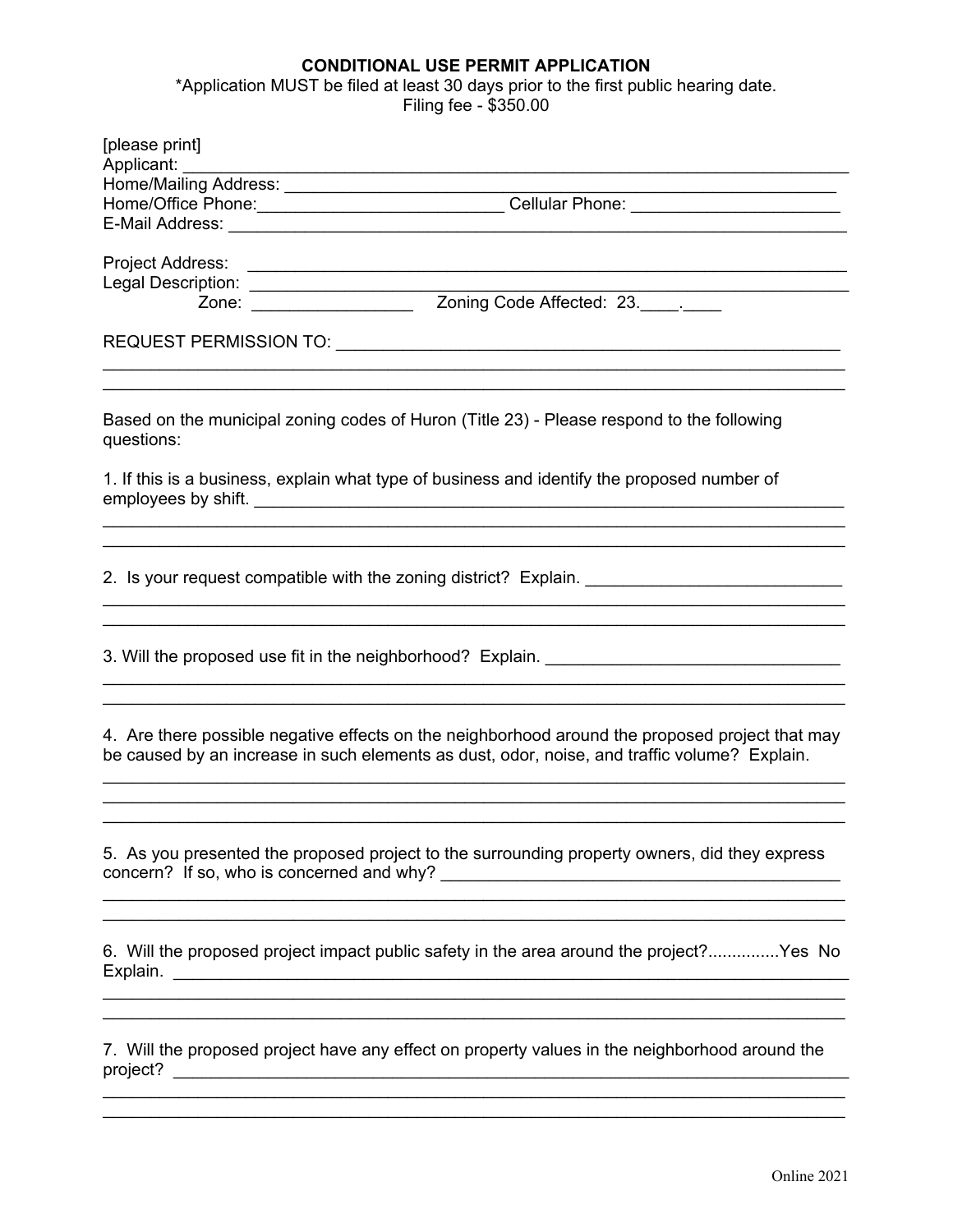# **CONDITIONAL USE PERMIT APPLICATION**

\*Application MUST be filed at least 30 days prior to the first public hearing date. Filing fee - \$350.00

| [please print]<br>Applicant: _________                                                                                                                                                          |  |  |
|-------------------------------------------------------------------------------------------------------------------------------------------------------------------------------------------------|--|--|
| <u> 1980 - Andrea Stadt Britain, amerikansk politik (* 1908)</u><br>Home/Office Phone: ________________________________Cellular Phone: ______________                                           |  |  |
| Project Address:<br>Legal Description:<br>Zone: <u>Zone: Zone Manuel Affected: 23. Juli</u>                                                                                                     |  |  |
|                                                                                                                                                                                                 |  |  |
| Based on the municipal zoning codes of Huron (Title 23) - Please respond to the following<br>questions:                                                                                         |  |  |
| 1. If this is a business, explain what type of business and identify the proposed number of                                                                                                     |  |  |
| 2. Is your request compatible with the zoning district? Explain.                                                                                                                                |  |  |
| 3. Will the proposed use fit in the neighborhood? Explain. _____________________                                                                                                                |  |  |
| 4. Are there possible negative effects on the neighborhood around the proposed project that may<br>be caused by an increase in such elements as dust, odor, noise, and traffic volume? Explain. |  |  |
| 5. As you presented the proposed project to the surrounding property owners, did they express<br><u> 1989 - Johann Stoff, amerikansk politiker (d. 1989)</u>                                    |  |  |
| 6. Will the proposed project impact public safety in the area around the project?Yes No                                                                                                         |  |  |
| 7. Will the proposed project have any effect on property values in the neighborhood around the                                                                                                  |  |  |
|                                                                                                                                                                                                 |  |  |